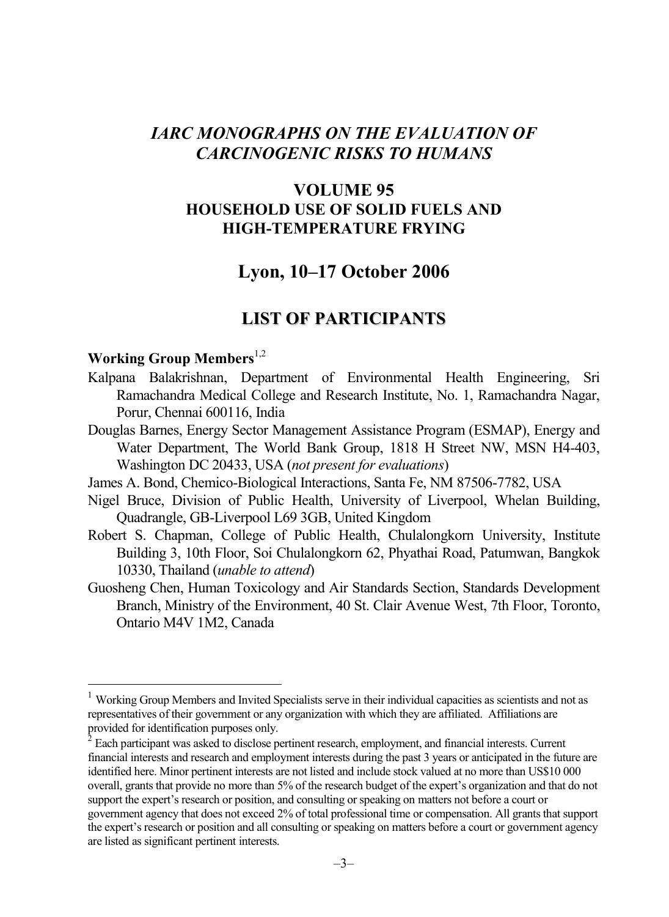# *IARC MONOGRAPHS ON THE EVALUATION OF CARCINOGENIC RISKS TO HUMANS*

# **VOLUME 95 HOUSEHOLD USE OF SOLID FUELS AND HIGH-TEMPERATURE FRYING**

# **Lyon, 10–17 October 2006**

# **LIST OF PARTICIPANTS**

## **Working Group Members**<sup>1,2</sup>

 $\overline{a}$ 

- Kalpana Balakrishnan, Department of Environmental Health Engineering, Sri Ramachandra Medical College and Research Institute, No. 1, Ramachandra Nagar, Porur, Chennai 600116, India
- Douglas Barnes, Energy Sector Management Assistance Program (ESMAP), Energy and Water Department, The World Bank Group, 1818 H Street NW, MSN H4-403, Washington DC 20433, USA (*not present for evaluations*)
- James A. Bond, Chemico-Biological Interactions, Santa Fe, NM 87506-7782, USA
- Nigel Bruce, Division of Public Health, University of Liverpool, Whelan Building, Quadrangle, GB-Liverpool L69 3GB, United Kingdom
- Robert S. Chapman, College of Public Health, Chulalongkorn University, Institute Building 3, 10th Floor, Soi Chulalongkorn 62, Phyathai Road, Patumwan, Bangkok 10330, Thailand (*unable to attend*)
- Guosheng Chen, Human Toxicology and Air Standards Section, Standards Development Branch, Ministry of the Environment, 40 St. Clair Avenue West, 7th Floor, Toronto, Ontario M4V 1M2, Canada

<sup>&</sup>lt;sup>1</sup> Working Group Members and Invited Specialists serve in their individual capacities as scientists and not as representatives of their government or any organization with which they are affiliated. Affiliations are provided for identification purposes only.

 $\tilde{c}$  Each participant was asked to disclose pertinent research, employment, and financial interests. Current financial interests and research and employment interests during the past 3 years or anticipated in the future are identified here. Minor pertinent interests are not listed and include stock valued at no more than US\$10 000 overall, grants that provide no more than 5% of the research budget of the expert's organization and that do not support the expert's research or position, and consulting or speaking on matters not before a court or government agency that does not exceed 2% of total professional time or compensation. All grants that support the expert's research or position and all consulting or speaking on matters before a court or government agency are listed as significant pertinent interests.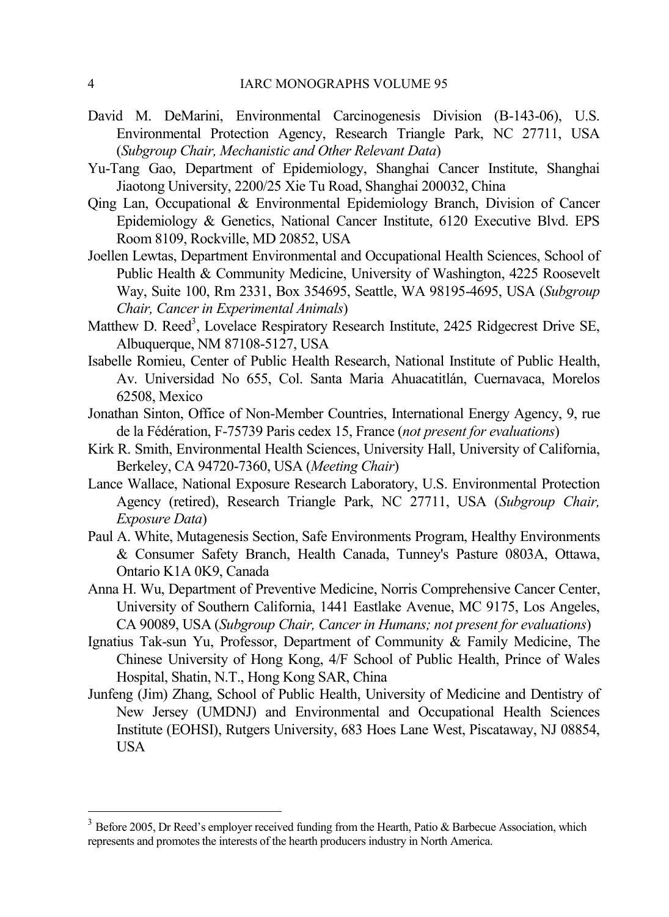- David M. DeMarini, Environmental Carcinogenesis Division (B-143-06), U.S. Environmental Protection Agency, Research Triangle Park, NC 27711, USA (*Subgroup Chair, Mechanistic and Other Relevant Data*)
- Yu-Tang Gao, Department of Epidemiology, Shanghai Cancer Institute, Shanghai Jiaotong University, 2200/25 Xie Tu Road, Shanghai 200032, China
- Qing Lan, Occupational & Environmental Epidemiology Branch, Division of Cancer Epidemiology & Genetics, National Cancer Institute, 6120 Executive Blvd. EPS Room 8109, Rockville, MD 20852, USA
- Joellen Lewtas, Department Environmental and Occupational Health Sciences, School of Public Health & Community Medicine, University of Washington, 4225 Roosevelt Way, Suite 100, Rm 2331, Box 354695, Seattle, WA 98195-4695, USA (*Subgroup Chair, Cancer in Experimental Animals*)
- Matthew D. Reed<sup>3</sup>, Lovelace Respiratory Research Institute, 2425 Ridgecrest Drive SE, Albuquerque, NM 87108-5127, USA
- Isabelle Romieu, Center of Public Health Research, National Institute of Public Health, Av. Universidad No 655, Col. Santa Maria Ahuacatitlán, Cuernavaca, Morelos 62508, Mexico
- Jonathan Sinton, Office of Non-Member Countries, International Energy Agency, 9, rue de la Fédération, F-75739 Paris cedex 15, France (*not present for evaluations*)
- Kirk R. Smith, Environmental Health Sciences, University Hall, University of California, Berkeley, CA 94720-7360, USA (*Meeting Chair*)
- Lance Wallace, National Exposure Research Laboratory, U.S. Environmental Protection Agency (retired), Research Triangle Park, NC 27711, USA (*Subgroup Chair, Exposure Data*)
- Paul A. White, Mutagenesis Section, Safe Environments Program, Healthy Environments & Consumer Safety Branch, Health Canada, Tunney's Pasture 0803A, Ottawa, Ontario K1A 0K9, Canada
- Anna H. Wu, Department of Preventive Medicine, Norris Comprehensive Cancer Center, University of Southern California, 1441 Eastlake Avenue, MC 9175, Los Angeles, CA 90089, USA (*Subgroup Chair, Cancer in Humans; not present for evaluations*)
- Ignatius Tak-sun Yu, Professor, Department of Community & Family Medicine, The Chinese University of Hong Kong, 4/F School of Public Health, Prince of Wales Hospital, Shatin, N.T., Hong Kong SAR, China
- Junfeng (Jim) Zhang, School of Public Health, University of Medicine and Dentistry of New Jersey (UMDNJ) and Environmental and Occupational Health Sciences Institute (EOHSI), Rutgers University, 683 Hoes Lane West, Piscataway, NJ 08854, USA

 $\overline{a}$ 

 $3$  Before 2005, Dr Reed's employer received funding from the Hearth, Patio & Barbecue Association, which represents and promotes the interests of the hearth producers industry in North America.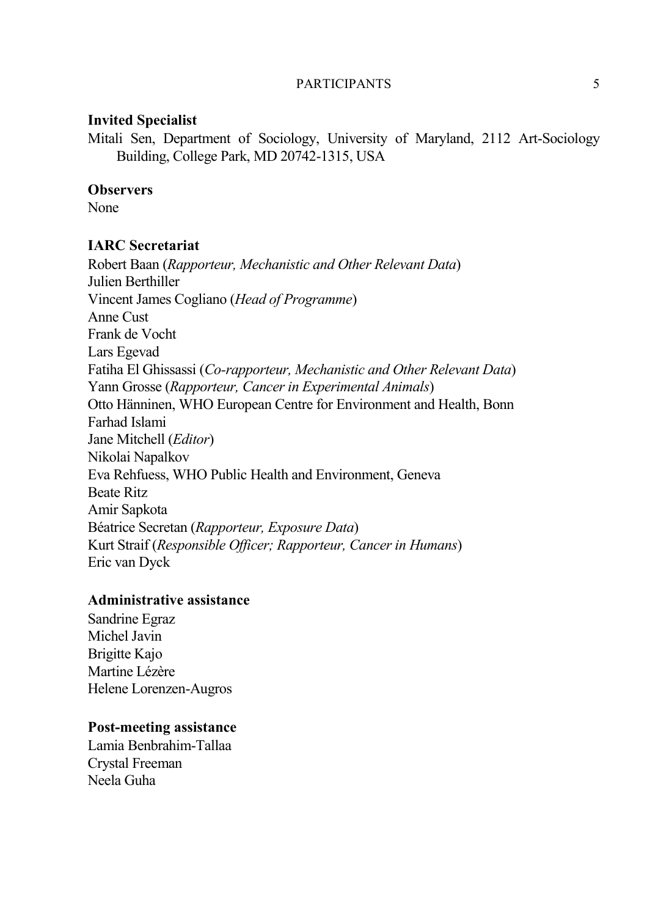#### PARTICIPANTS 5

### **Invited Specialist**

Mitali Sen, Department of Sociology, University of Maryland, 2112 Art-Sociology Building, College Park, MD 20742-1315, USA

#### **Observers**

None

### **IARC Secretariat**

Robert Baan (*Rapporteur, Mechanistic and Other Relevant Data*) Julien Berthiller Vincent James Cogliano (*Head of Programme*) Anne Cust Frank de Vocht Lars Egevad Fatiha El Ghissassi (*Co-rapporteur, Mechanistic and Other Relevant Data*) Yann Grosse (*Rapporteur, Cancer in Experimental Animals*) Otto Hänninen, WHO European Centre for Environment and Health, Bonn Farhad Islami Jane Mitchell (*Editor*) Nikolai Napalkov Eva Rehfuess, WHO Public Health and Environment, Geneva Beate Ritz Amir Sapkota Béatrice Secretan (*Rapporteur, Exposure Data*) Kurt Straif (*Responsible Officer; Rapporteur, Cancer in Humans*) Eric van Dyck

## **Administrative assistance**

Sandrine Egraz Michel Javin Brigitte Kajo Martine Lézère Helene Lorenzen-Augros

### **Post-meeting assistance**

Lamia Benbrahim-Tallaa Crystal Freeman Neela Guha